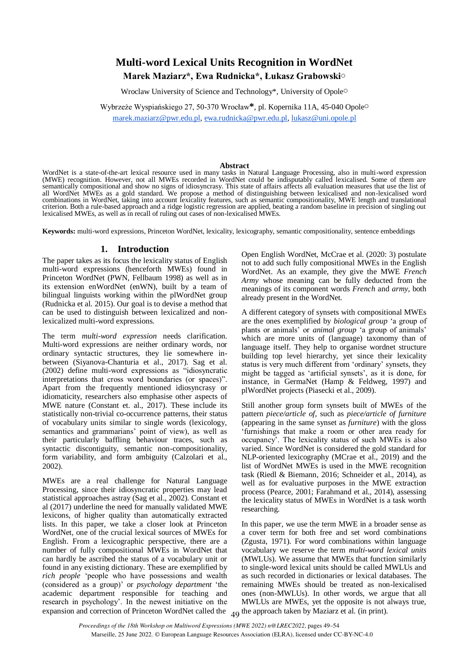# **Multi-word Lexical Units Recognition in WordNet Marek Maziarz\*, Ewa Rudnicka\*, Łukasz Grabowski**○

Wroclaw University of Science and Technology\*, University of Opole○

Wybrzeże Wyspiańskiego 27, 50-370 Wrocław**\***, pl. Kopernika 11A, 45-040 Opole○

[marek.maziarz@pwr.edu.pl,](mailto:marek.maziarz@pwr.edu.pl) [ewa.rudnicka@pwr.edu.pl,](mailto:ewa.rudnicka@pwr.edu.pl) [lukasz@uni.opole.pl](mailto:lukasz@uni.opole.pl)

#### **Abstract**

WordNet is a state-of-the-art lexical resource used in many tasks in Natural Language Processing, also in multi-word expression (MWE) recognition. However, not all MWEs recorded in WordNet could be indisputably called lexicalised. Some of them are semantically compositional and show no signs of idiosyncrasy. This state of affairs affects all evaluation measures that use the list of all WordNet MWEs as a gold standard. We propose a method of distinguishing between lexicalised and non-lexicalised word combinations in WordNet, taking into account lexicality features, such as semantic compositionality, MWE length and translational criterion. Both a rule-based approach and a ridge logistic regression are applied, beating a random baseline in precision of singling out lexicalised MWEs, as well as in recall of ruling out cases of non-lexicalised MWEs.

**Keywords:** multi-word expressions, Princeton WordNet, lexicality, lexicography, semantic compositionality, sentence embeddings

## **1. Introduction**

The paper takes as its focus the lexicality status of English multi-word expressions (henceforth MWEs) found in Princeton WordNet (PWN, Fellbaum 1998) as well as in its extension enWordNet (enWN), built by a team of bilingual linguists working within the plWordNet group (Rudnicka et al. 2015). Our goal is to devise a method that can be used to distinguish between lexicalized and nonlexicalized multi-word expressions.

The term *multi-word expression* needs clarification. Multi-word expressions are neither ordinary words, nor ordinary syntactic structures, they lie somewhere inbetween (Siyanova-Chanturia et al., 2017). Sag et al. (2002) define multi-word expressions as "idiosyncratic interpretations that cross word boundaries (or spaces)". Apart from the frequently mentioned idiosyncrasy or idiomaticity, researchers also emphasise other aspects of MWE nature (Constant et. al., 2017). These include its statistically non-trivial co-occurrence patterns, their status of vocabulary units similar to single words (lexicology, semantics and grammarians' point of view), as well as their particularly baffling behaviour traces, such as syntactic discontiguity, semantic non-compositionality, form variability, and form ambiguity (Calzolari et al., 2002).

expansion and correction of Princeton WordNet called the  $\overline{49}$  the approach taken by Maziarz et al. (in print). MWEs are a real challenge for Natural Language Processing, since their idiosyncratic properties may lead statistical approaches astray (Sag et al., 2002). Constant et al (2017) underline the need for manually validated MWE lexicons, of higher quality than automatically extracted lists. In this paper, we take a closer look at Princeton WordNet, one of the crucial lexical sources of MWEs for English. From a lexicographic perspective, there are a number of fully compositional MWEs in WordNet that can hardly be ascribed the status of a vocabulary unit or found in any existing dictionary. These are exemplified by *rich people* 'people who have possessions and wealth (considered as a group)' or *psychology department* 'the academic department responsible for teaching and research in psychology'. In the newest initiative on the

Open English WordNet, McCrae et al. (2020: 3) postulate not to add such fully compositional MWEs in the English WordNet. As an example, they give the MWE *French Army* whose meaning can be fully deducted from the meanings of its component words *French* and *army*, both already present in the WordNet.

A different category of synsets with compositional MWEs are the ones exemplified by *biological group* 'a group of plants or animals' or *animal group* 'a group of animals' which are more units of (language) taxonomy than of language itself. They help to organise wordnet structure building top level hierarchy, yet since their lexicality status is very much different from 'ordinary' synsets, they might be tagged as 'artificial synsets', as it is done, for instance, in GermaNet (Hamp & Feldweg, 1997) and plWordNet projects (Piasecki et al., 2009).

Still another group form synsets built of MWEs of the pattern *piece/article of*, such as *piece/article of furniture* (appearing in the same synset as *furniture*) with the gloss 'furnishings that make a room or other area ready for occupancy'. The lexicality status of such MWEs is also varied. Since WordNet is considered the gold standard for NLP-oriented lexicography (MCrae et al., 2019) and the list of WordNet MWEs is used in the MWE recognition task (Riedl & Biemann, 2016; Schneider et al., 2014), as well as for evaluative purposes in the MWE extraction process (Pearce, 2001; Farahmand et al., 2014), assessing the lexicality status of MWEs in WordNet is a task worth researching.

In this paper, we use the term MWE in a broader sense as a cover term for both free and set word combinations (Zgusta, 1971). For word combinations within language vocabulary we reserve the term *multi-word lexical units*  (MWLUs). We assume that MWEs that function similarly to single-word lexical units should be called MWLUs and as such recorded in dictionaries or lexical databases. The remaining MWEs should be treated as non-lexicalised ones (non-MWLUs). In other words, we argue that all MWLUs are MWEs, yet the opposite is not always true,

*Proceedings of the 18th Workshop on Multiword Expressions (MWE 2022) n@LREC2022*, pages 49–54 Marseille, 25 June 2022. © European Language Resources Association (ELRA), licensed under CC-BY-NC-4.0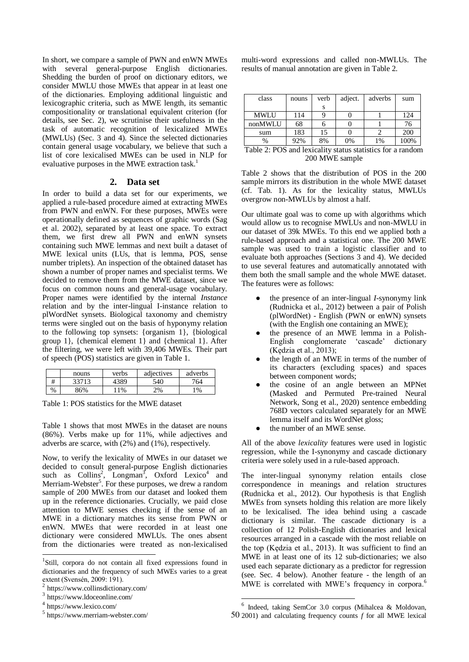In short, we compare a sample of PWN and enWN MWEs with several general-purpose English dictionaries. Shedding the burden of proof on dictionary editors, we consider MWLU those MWEs that appear in at least one of the dictionaries. Employing additional linguistic and lexicographic criteria, such as MWE length, its semantic compositionality or translational equivalent criterion (for details, see Sec. 2), we scrutinise their usefulness in the task of automatic recognition of lexicalized MWEs (MWLUs) (Sec. 3 and 4). Since the selected dictionaries contain general usage vocabulary, we believe that such a list of core lexicalised MWEs can be used in NLP for evaluative purposes in the MWE extraction task.<sup>1</sup>

### **2. Data set**

In order to build a data set for our experiments, we applied a rule-based procedure aimed at extracting MWEs from PWN and enWN. For these purposes, MWEs were operationally defined as sequences of graphic words (Sag et al. 2002), separated by at least one space. To extract them, we first drew all PWN and enWN synsets containing such MWE lemmas and next built a dataset of MWE lexical units (LUs, that is lemma, POS, sense number triplets). An inspection of the obtained dataset has shown a number of proper names and specialist terms. We decided to remove them from the MWE dataset, since we focus on common nouns and general-usage vocabulary. Proper names were identified by the internal *Instance* relation and by the inter-lingual I-instance relation to plWordNet synsets. Biological taxonomy and chemistry terms were singled out on the basis of hyponymy relation to the following top synsets: {organism 1}, {biological group 1}, {chemical element 1} and {chemical 1}. After the filtering, we were left with 39,406 MWEs. Their part of speech (POS) statistics are given in Table 1.

|   | nouns | verbs | adjectives | adverbs |
|---|-------|-------|------------|---------|
| # | 33713 | 389.  | 540        | 764     |
| % | 36%   | 1%    | 2%         | 1%      |

Table 1: POS statistics for the MWE dataset

Table 1 shows that most MWEs in the dataset are nouns (86%). Verbs make up for 11%, while adjectives and adverbs are scarce, with (2%) and (1%), respectively.

Now, to verify the lexicality of MWEs in our dataset we decided to consult general-purpose English dictionaries such as Collins<sup>2</sup>, Longman<sup>3</sup>, Oxford Lexico<sup>4</sup> and Merriam-Webster<sup>5</sup>. For these purposes, we drew a random sample of 200 MWEs from our dataset and looked them up in the reference dictionaries. Crucially, we paid close attention to MWE senses checking if the sense of an MWE in a dictionary matches its sense from PWN or enWN. MWEs that were recorded in at least one dictionary were considered MWLUs. The ones absent from the dictionaries were treated as non-lexicalised l

multi-word expressions and called non-MWLUs. The results of manual annotation are given in Table 2.

| class                                                      | nouns | verb | adject. | adverbs | sum  |
|------------------------------------------------------------|-------|------|---------|---------|------|
|                                                            |       | S    |         |         |      |
| <b>MWLU</b>                                                | 114   |      |         |         | 124  |
| nonMWLU                                                    | 68    |      |         |         | 76   |
| sum                                                        | 183   | 15   |         |         | 200  |
| $\frac{0}{0}$                                              | 92%   | 8%   | 0%      | 1%      | 100% |
| Table 2: POS and lexicality status statistics for a random |       |      |         |         |      |

200 MWE sample

Table 2 shows that the distribution of POS in the 200 sample mirrors its distribution in the whole MWE dataset (cf. Tab. 1). As for the lexicality status, MWLUs overgrow non-MWLUs by almost a half.

Our ultimate goal was to come up with algorithms which would allow us to recognise MWLUs and non-MWLU in our dataset of 39k MWEs. To this end we applied both a rule-based approach and a statistical one. The 200 MWE sample was used to train a logistic classifier and to evaluate both approaches (Sections 3 and 4). We decided to use several features and automatically annotated with them both the small sample and the whole MWE dataset. The features were as follows:

- the presence of an inter-lingual *I*-synonymy link (Rudnicka et al., 2012) between a pair of Polish (plWordNet) - English (PWN or enWN) synsets (with the English one containing an MWE);
- the presence of an MWE lemma in a Polish-English conglomerate 'cascade' dictionary (Kędzia et al., 2013);
- the length of an MWE in terms of the number of its characters (excluding spaces) and spaces between component words;
- the cosine of an angle between an MPNet (Masked and Permuted Pre-trained Neural Network, Song et al., 2020) sentence embedding 768D vectors calculated separately for an MWE lemma itself and its WordNet gloss;
- the number of an MWE sense.

All of the above *lexicality* features were used in logistic regression, while the I-synonymy and cascade dictionary criteria were solely used in a rule-based approach.

The inter-lingual synonymy relation entails close correspondence in meanings and relation structures (Rudnicka et al., 2012). Our hypothesis is that English MWEs from synsets holding this relation are more likely to be lexicalised. The idea behind using a cascade dictionary is similar. The cascade dictionary is a collection of 12 Polish-English dictionaries and lexical resources arranged in a cascade with the most reliable on the top (Kędzia et al., 2013). It was sufficient to find an MWE in at least one of its 12 sub-dictionaries; we also used each separate dictionary as a predictor for regression (see. Sec. 4 below). Another feature - the length of an MWE is correlated with MWE's frequency in corpora.<sup>6</sup>

-

<sup>&</sup>lt;sup>1</sup>Still, corpora do not contain all fixed expressions found in dictionaries and the frequency of such MWEs varies to a great extent (Svensén, 2009: 191).

<sup>2</sup> https://www.collinsdictionary.com/

<sup>3</sup> https://www.ldoceonline.com/

<sup>4</sup> https://www.lexico.com/

<sup>5</sup> https://www.merriam-webster.com/

<sup>50</sup> 2001) and calculating frequency counts *f* for all MWE lexical 6 Indeed, taking SemCor 3.0 corpus (Mihalcea & Moldovan,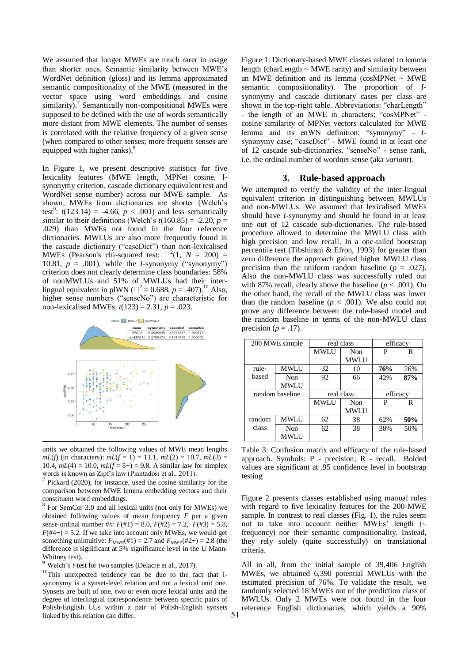We assumed that longer MWEs are much rarer in usage than shorter ones. Semantic similarity between MWE's WordNet definition (gloss) and its lemma approximated semantic compositionality of the MWE (measured in the vector space using word embeddings and cosine similarity).<sup>7</sup> Semantically non-compositional MWEs were supposed to be defined with the use of words semantically more distant from MWE elements. The number of senses is correlated with the relative frequency of a given sense (when compared to other senses; more frequent senses are equipped with higher ranks).<sup>8</sup>

In Figure 1, we present descriptive statistics for five lexicality features (MWE length, MPNet cosine, Isynonymy criterion, cascade dictionary equivalent test and WordNet sense number) across our MWE sample. As shown, MWEs from dictionaries are shorter (Welch's test<sup>9</sup>:  $t(123.14) = -4.66$ ,  $p < .001$ ) and less semantically similar to their definitions (Welch's  $t(160.85) = -2.20$ ,  $p =$ .029) than MWEs not found in the four reference dictionaries. MWLUs are also more frequently found in the cascade dictionary ("cascDict") than non-lexicalised MWEs (Pearson's chi-squared test:  $\Box^2(1, N = 200) =$ 10.81,  $p = .001$ ), while the *I*-synonymy ("synonymy") criterion does not clearly determine class boundaries: 58% of nonMWLUs and 51% of MWLUs had their interlingual equivalent in plWN ( $\Box^2$  = 0.688, *p* = .407).<sup>10</sup> Also, higher sense numbers ("senseNo") are characteristic for non-lexicalised MWEs: *t*(123) = 2.31, *p* = .023.



units we obtained the following values of MWE mean lengths *mL*(*f*) (in characters):  $mL(f = 1) = 11.1$ ,  $mL(2) = 10.7$ ,  $mL(3) =$ 10.4,  $mL(4) = 10.0$ ,  $mL(f = 5+) = 9.8$ . A similar law for simplex words is known as Zipf's law (Piantadosi et al., 2011).<br><sup>7</sup> Disland (2020), far instance, used the against similar

l

Pickard (2020), for instance, used the cosine similarity for the comparison between MWE lemma embedding vectors and their constituent word embeddings.

<sup>8</sup> For SemCor 3.0 and all lexical units (not only for MWEs) we obtained following values of mean frequency *F* per a given sense ordinal number #*n*: *F*(#1) = 8.0, *F*(#2) = 7.2, *F*(#3) = 5.8,  $F(\text{#4+}) = 5.2$ . If we take into account only MWEs, we would get something unintuitive:  $F_{\text{MWE}}(\#1) = 2.7$  and  $F_{\text{MWE}}(\#2+) = 2.8$  (the difference is significant at 5% significance level in the *U* Mann-Whitney test).

Welch's *t*-test for two samples (Delacre et al., 2017).

<sup>10</sup>This unexpected tendency can be due to the fact that Isynonymy is a synset-level relation and not a lexical unit one. Synsets are built of one, two or even more lexical units and the degree of interlingual correspondence between specific pairs of Polish-English LUs within a pair of Polish-English synsets linked by this relation can differ.

Figure 1: Dictionary-based MWE classes related to lemma length (charLength ~ MWE rarity) and similarity between an MWE definition and its lemma ( $cosMPNet ~ MWE$ semantic compositionality). The proportion of *I*synonymy and cascade dictionary cases per class are shown in the top-right table. Abbreviations: "charLength" - the length of an MWE in characters; "cosMPNet" cosine similarity of MPNet vectors calculated for MWE lemma and its enWN definition; "synonymy" - *I*synonymy case; "cascDict" - MWE found in at least one of 12 cascade sub-dictionaries, "senseNo" - sense rank, i.e. the ordinal number of wordnet sense (aka *variant*).

#### **3. Rule-based approach**

We attempted to verify the validity of the inter-lingual equivalent criterion in distinguishing between MWLUs and non-MWLUs. We assumed that lexicalised MWEs should have *I*-synonymy and should be found in at least one out of 12 cascade sub-dictionaries. The rule-based procedure allowed to determine the MWLU class with high precision and low recall. In a one-tailed bootstrap percentile test (Tibshirani & Efron, 1993) for greater than zero difference the approach gained higher MWLU class precision than the uniform random baseline ( $p = .027$ ). Also the non-MWLU class was successfully ruled out with 87% recall, clearly above the baseline  $(p < .001)$ . On the other hand, the recall of the MWLU class was lower than the random baseline  $(p < .001)$ . We also could not prove any difference between the rule-based model and the random baseline in terms of the non-MWLU class precision ( $p = .17$ ).

| 200 MWE sample  |             | real class  |             | efficacy |     |
|-----------------|-------------|-------------|-------------|----------|-----|
|                 |             | <b>MWLU</b> | Non         | P        | R   |
|                 |             |             | <b>MWLU</b> |          |     |
| rule-           | <b>MWLU</b> | 32          | 10          | 76%      | 26% |
| based           | Non         | 92          | 66          | 42%      | 87% |
|                 | MWLU        |             |             |          |     |
| random baseline |             | real class  |             | efficacy |     |
|                 |             | <b>MWLU</b> | Non         | P        | R   |
|                 |             |             |             |          |     |
|                 |             |             | <b>MWLU</b> |          |     |
| random          | <b>MWLU</b> | 62          | 38          | 62%      | 50% |
| class           | Non         | 62          | 38          | 38%      | 50% |

Table 3: Confusion matrix and efficacy of the rule-based approach. Symbols: P - precision; R - recall. Bolded values are significant at .95 confidence level in bootstrap testing

Figure 2 presents classes established using manual rules with regard to five lexicality features for the 200-MWE sample. In contrast to real classes (Fig. 1), the rules seem not to take into account neither MWEs' length  $(\sim$ frequency) nor their semantic compositionality. Instead, they rely solely (quite successfully) on translational criteria.

All in all, from the initial sample of 39,406 English MWEs, we obtained 6,390 potential MWLUs with the estimated precision of 76%. To validate the result, we randomly selected 18 MWEs out of the prediction class of MWLUs. Only 2 MWEs were not found in the four reference English dictionaries, which yields a 90%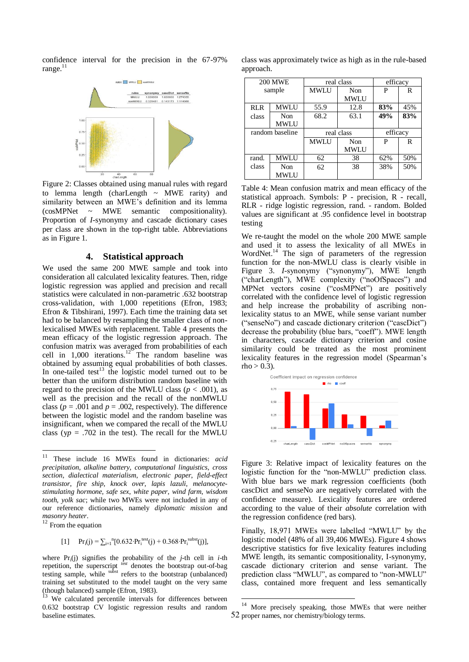confidence interval for the precision in the 67-97% range. $<sup>11</sup>$ </sup>



Figure 2: Classes obtained using manual rules with regard to lemma length (charLength ~ MWE rarity) and similarity between an MWE's definition and its lemma (cosMPNet ~ MWE semantic compositionality). Proportion of *I*-synonymy and cascade dictionary cases per class are shown in the top-right table. Abbreviations as in Figure 1.

### **4. Statistical approach**

We used the same 200 MWE sample and took into consideration all calculated lexicality features. Then, ridge logistic regression was applied and precision and recall statistics were calculated in non-parametric .632 bootstrap cross-validation, with 1,000 repetitions (Efron, 1983; Efron & Tibshirani, 1997). Each time the training data set had to be balanced by resampling the smaller class of nonlexicalised MWEs with replacement. Table 4 presents the mean efficacy of the logistic regression approach. The confusion matrix was averaged from probabilities of each cell in  $1,000$  iterations.<sup>12</sup> The random baseline was obtained by assuming equal probabilities of both classes. In one-tailed test<sup>13</sup> the logistic model turned out to be better than the uniform distribution random baseline with regard to the precision of the MWLU class ( $p < .001$ ), as well as the precision and the recall of the nonMWLU class ( $p = .001$  and  $p = .002$ , respectively). The difference between the logistic model and the random baseline was insignificant, when we compared the recall of the MWLU class ( $yp = .702$  in the test). The recall for the MWLU

<sup>12</sup> From the equation

l

[1] 
$$
Pr_i(j) = \sum_{i=1}^{n} [0.632 \cdot Pr_i^{test}(j) + 0.368 \cdot Pr_i^{subst}(j)],
$$

where  $Pr_i(i)$  signifies the probability of the *j*-th cell in *i*-th repetition, the superscript <sup>fest</sup> denotes the bootstrap out-of-bag testing sample, while subst refers to the bootstrap (unbalanced) training set substituted to the model taught on the very same (though balanced) sample (Efron, 1983).

class was approximately twice as high as in the rule-based approach.

| <b>200 MWE</b>  |      | real class  |             | efficacy |     |
|-----------------|------|-------------|-------------|----------|-----|
| sample          |      | <b>MWLU</b> | Non         | P        | R   |
|                 |      |             | <b>MWLU</b> |          |     |
| <b>RLR</b>      | MWLU | 55.9        | 12.8        | 83%      | 45% |
| class           | Non  | 68.2        | 63.1        | 49%      | 83% |
|                 | MWLU |             |             |          |     |
| random baseline |      | real class  |             | efficacy |     |
|                 |      | <b>MWLU</b> | Non         | P        | R   |
|                 |      |             | <b>MWLU</b> |          |     |
| rand.           | MWLU | 62          | 38          | 62%      | 50% |
| class           | Non  | 62          | 38          | 38%      | 50% |
|                 | MWLU |             |             |          |     |

Table 4: Mean confusion matrix and mean efficacy of the statistical approach. Symbols: P - precision, R - recall, RLR - ridge logistic regression, rand. - random. Bolded values are significant at .95 confidence level in bootstrap testing

We re-taught the model on the whole 200 MWE sample and used it to assess the lexicality of all MWEs in WordNet.<sup>14</sup> The sign of parameters of the regression function for the non-MWLU class is clearly visible in Figure 3. *I*-synonymy ("synonymy"), MWE length ("charLength"), MWE complexity ("noOfSpaces") and MPNet vectors cosine ("cosMPNet") are positively correlated with the confidence level of logistic regression and help increase the probability of ascribing nonlexicality status to an MWE, while sense variant number ("senseNo") and cascade dictionary criterion ("cascDict") decrease the probability (blue bars, "coeff"). MWE length in characters, cascade dictionary criterion and cosine similarity could be treated as the most prominent lexicality features in the regression model (Spearman's rho  $> 0.3$ ).



Figure 3: Relative impact of lexicality features on the logistic function for the "non-MWLU" prediction class. With blue bars we mark regression coefficients (both cascDict and senseNo are negatively correlated with the confidence measure). Lexicality features are ordered according to the value of their *absolute* correlation with the regression confidence (red bars).

Finally, 18,971 MWEs were labelled "MWLU" by the logistic model (48% of all 39,406 MWEs). Figure 4 shows descriptive statistics for five lexicality features including MWE length, its semantic compositionality, I-synonymy, cascade dictionary criterion and sense variant. The prediction class "MWLU", as compared to "non-MWLU" class, contained more frequent and less semantically

-

<sup>11</sup> These include 16 MWEs found in dictionaries: *acid precipitation*, *alkaline battery*, *computational linguistics*, *cross section*, *dialectical materialism*, *electronic paper*, *field-effect transistor*, *fire ship*, *knock over*, *lapis lazuli*, *melanocytestimulating hormone*, *safe sex*, *white paper*, *wind farm*, *wisdom tooth*, *yolk sac*; while two MWEs were not included in any of our reference dictionaries, namely *diplomatic mission* and *masonry heater*.

<sup>&</sup>lt;sup>13</sup> We calculated percentile intervals for differences between 0.632 bootstrap CV logistic regression results and random baseline estimates.

<sup>52</sup> proper names, nor chemistry/biology terms.<sup>14</sup> More precisely speaking, those MWEs that were neither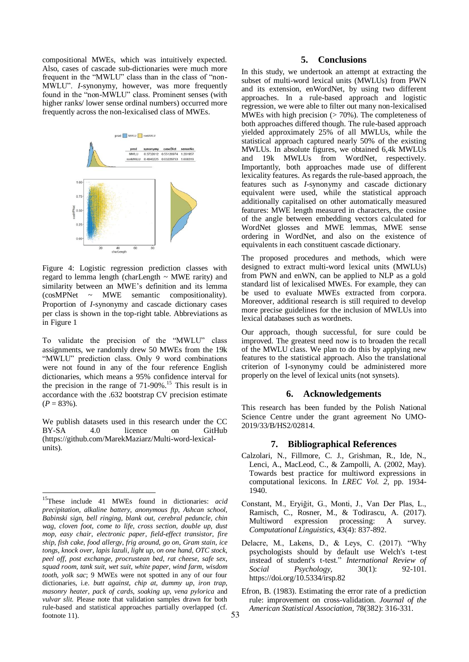compositional MWEs, which was intuitively expected. Also, cases of cascade sub-dictionaries were much more frequent in the "MWLU" class than in the class of "non-MWLU". *I*-synonymy, however, was more frequently found in the "non-MWLU" class. Prominent senses (with higher ranks/ lower sense ordinal numbers) occurred more frequently across the non-lexicalised class of MWEs.



Figure 4: Logistic regression prediction classes with regard to lemma length (charLength  $\sim$  MWE rarity) and similarity between an MWE's definition and its lemma (cosMPNet ~ MWE semantic compositionality). Proportion of *I*-synonymy and cascade dictionary cases per class is shown in the top-right table. Abbreviations as in Figure 1

To validate the precision of the "MWLU" class assignments, we randomly drew 50 MWEs from the 19k "MWLU" prediction class. Only 9 word combinations were not found in any of the four reference English dictionaries, which means a 95% confidence interval for the precision in the range of  $71-90\%$ .<sup>15</sup> This result is in accordance with the .632 bootstrap CV precision estimate  $(P = 83\%)$ .

We publish datasets used in this research under the CC BY-SA 4.0 licence on GitHub (https://github.com/MarekMaziarz/Multi-word-lexicalunits).

l

## **5. Conclusions**

In this study, we undertook an attempt at extracting the subset of multi-word lexical units (MWLUs) from PWN and its extension, enWordNet, by using two different approaches. In a rule-based approach and logistic regression, we were able to filter out many non-lexicalised MWEs with high precision  $($  > 70%). The completeness of both approaches differed though. The rule-based approach yielded approximately 25% of all MWLUs, while the statistical approach captured nearly 50% of the existing MWLUs. In absolute figures, we obtained 6,4k MWLUs and 19k MWLUs from WordNet, respectively. Importantly, both approaches made use of different lexicality features. As regards the rule-based approach, the features such as *I*-synonymy and cascade dictionary equivalent were used, while the statistical approach additionally capitalised on other automatically measured features: MWE length measured in characters, the cosine of the angle between embedding vectors calculated for WordNet glosses and MWE lemmas, MWE sense ordering in WordNet, and also on the existence of equivalents in each constituent cascade dictionary.

The proposed procedures and methods, which were designed to extract multi-word lexical units (MWLUs) from PWN and enWN, can be applied to NLP as a gold standard list of lexicalised MWEs. For example, they can be used to evaluate MWEs extracted from corpora. Moreover, additional research is still required to develop more precise guidelines for the inclusion of MWLUs into lexical databases such as wordnets.

Our approach, though successful, for sure could be improved. The greatest need now is to broaden the recall of the MWLU class. We plan to do this by applying new features to the statistical approach. Also the translational criterion of I-synonymy could be administered more properly on the level of lexical units (not synsets).

## **6. Acknowledgements**

This research has been funded by the Polish National Science Centre under the grant agreement No UMO-2019/33/B/HS2/02814.

#### **7. Bibliographical References**

- Calzolari, N., Fillmore, C. J., Grishman, R., Ide, N., Lenci, A., MacLeod, C., & Zampolli, A. (2002, May). Towards best practice for multiword expressions in computational lexicons. In *LREC Vol. 2*, pp. 1934- 1940.
- Constant, M., Eryiğit, G., Monti, J., Van Der Plas, L., Ramisch, C., Rosner, M., & Todirascu, A. (2017). Multiword expression processing: A survey. *Computational Linguistics*, 43(4): 837-892.
- Delacre, M., Lakens, D., & Leys, C. (2017). "Why psychologists should by default use Welch's t-test instead of student's t-test." *International Review of Social Psychology,* 30(1): 92-101. https://doi.org/10.5334/irsp.82
- Efron, B. (1983). Estimating the error rate of a prediction rule: improvement on cross-validation. *Journal of the American Statistical Association*, 78(382): 316-331.

<sup>15</sup>These include 41 MWEs found in dictionaries: *acid precipitation*, *alkaline battery*, *anonymous ftp*, *Ashcan school*, *Babinski sign*, *bell ringing*, *blank out*, *cerebral peduncle*, *chin wag*, *cloven foot*, *come to life*, *cross section*, *double up*, *dust mop*, *easy chair*, *electronic paper*, *field-effect transistor*, *fire ship*, *fish cake*, *food allergy*, *frig around*, *go on*, *Gram stain*, *ice tongs*, *knock over*, *lapis lazuli*, *light up*, *on one hand*, *OTC stock*, *peel off*, *post exchange*, *procrustean bed*, *rat cheese*, *safe sex*, *squad room*, *tank suit*, *wet suit*, *white paper*, *wind farm*, *wisdom tooth*, *yolk sac*; 9 MWEs were not spotted in any of our four dictionaries, i.e. *butt against*, *chip at*, *dummy up*, *iron trap*, *masonry heater*, *pack of cards*, *soaking up*, *vena pylorica* and *vulvar slit.* Please note that validation samples drawn for both rule-based and statistical approaches partially overlapped (cf. footnote 11).